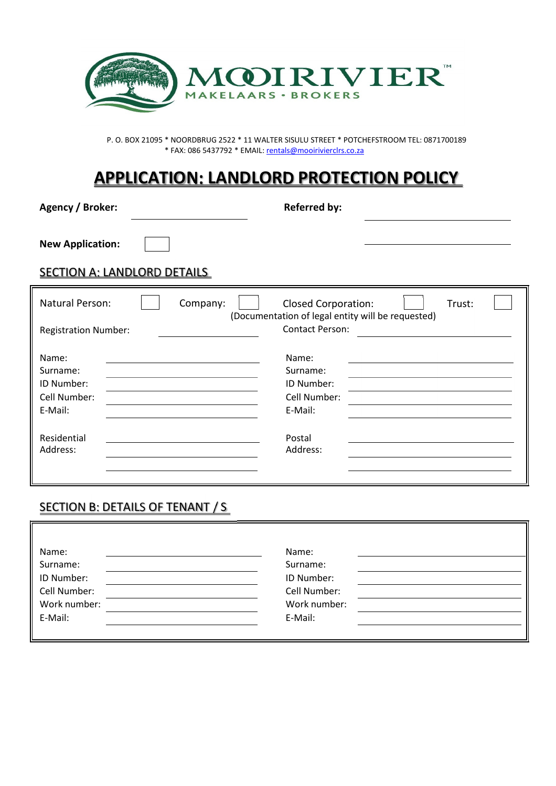

P. O. BOX 21095 \* NOORDBRUG 2522 \* 11 WALTER SISULU STREET \* POTCHEFSTROOM TEL: 0871700189 \* FAX: 086 5437792 \* EMAIL: rentals@mooirivierclrs.co.za

# **APPLICATION: LANDLORD PROTECTION POLICY**

Agency / Broker: **Referred by: Referred by:** 

**New Application:** 

SECTION A: LANDLORD DETAILS

| Natural Person:<br>Company: | <b>Closed Corporation:</b><br>Trust:<br>(Documentation of legal entity will be requested) |
|-----------------------------|-------------------------------------------------------------------------------------------|
| <b>Registration Number:</b> | <b>Contact Person:</b>                                                                    |
| Name:                       | Name:                                                                                     |
| Surname:                    | Surname:                                                                                  |
| ID Number:                  | ID Number:                                                                                |
| Cell Number:                | Cell Number:                                                                              |
| E-Mail:                     | E-Mail:                                                                                   |
| Residential                 | Postal                                                                                    |
| Address:                    | Address:                                                                                  |

#### SECTION B: DETAILS OF TENANT / S

| Name:        | Name:        |
|--------------|--------------|
| Surname:     | Surname:     |
| ID Number:   | ID Number:   |
| Cell Number: | Cell Number: |
| Work number: | Work number: |
| E-Mail:      | E-Mail:      |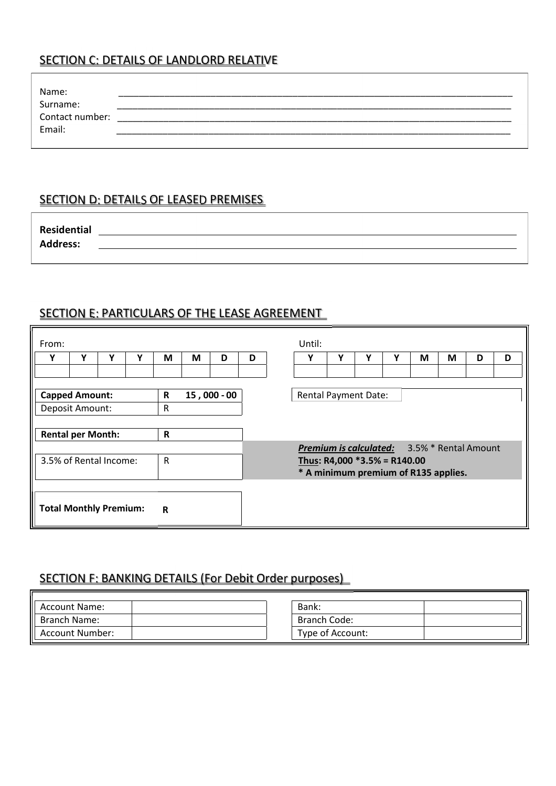### SECTION C: DETAILS OF LANDLORD RELATIVE

| Name:           |  |
|-----------------|--|
| Surname:        |  |
| Contact number: |  |
| Email:          |  |
|                 |  |

#### SECTION D: DETAILS OF LEASED PREMISES

| <b>Residential</b> |  |
|--------------------|--|
| <b>Address:</b>    |  |

## SECTION E: PARTICULARS OF THE LEASE AGREEMENT

| From:                         |                                                    |   |   |             |   |             |                                      | Until:                          |                             |   |  |   |   |   |   |   |  |  |
|-------------------------------|----------------------------------------------------|---|---|-------------|---|-------------|--------------------------------------|---------------------------------|-----------------------------|---|--|---|---|---|---|---|--|--|
| v                             | Υ                                                  | v | Υ | M           | M | D           | D                                    |                                 | Υ                           | ν |  | v | M | M | D | D |  |  |
|                               |                                                    |   |   |             |   |             |                                      |                                 |                             |   |  |   |   |   |   |   |  |  |
|                               |                                                    |   |   |             |   |             |                                      |                                 |                             |   |  |   |   |   |   |   |  |  |
|                               | <b>Capped Amount:</b>                              |   |   | R           |   | 15,000 - 00 |                                      |                                 | <b>Rental Payment Date:</b> |   |  |   |   |   |   |   |  |  |
|                               | Deposit Amount:                                    |   |   | R           |   |             |                                      |                                 |                             |   |  |   |   |   |   |   |  |  |
|                               |                                                    |   |   |             |   |             |                                      |                                 |                             |   |  |   |   |   |   |   |  |  |
|                               | <b>Rental per Month:</b>                           |   |   | $\mathbf R$ |   |             |                                      |                                 |                             |   |  |   |   |   |   |   |  |  |
|                               | <b>Premium is calculated:</b> 3.5% * Rental Amount |   |   |             |   |             |                                      |                                 |                             |   |  |   |   |   |   |   |  |  |
| 3.5% of Rental Income:<br>R   |                                                    |   |   |             |   |             |                                      | Thus: R4,000 $*3.5\%$ = R140.00 |                             |   |  |   |   |   |   |   |  |  |
|                               |                                                    |   |   |             |   |             | * A minimum premium of R135 applies. |                                 |                             |   |  |   |   |   |   |   |  |  |
|                               |                                                    |   |   |             |   |             |                                      |                                 |                             |   |  |   |   |   |   |   |  |  |
| <b>Total Monthly Premium:</b> |                                                    |   |   | $\mathbf R$ |   |             |                                      |                                 |                             |   |  |   |   |   |   |   |  |  |

#### SECTION F: BANKING DETAILS (For Debit Order purposes)

| <b>Account Name:</b> | Bank:            |
|----------------------|------------------|
| Branch Name:         | Branch Code:     |
| Account Number:      | Type of Account: |
|                      |                  |